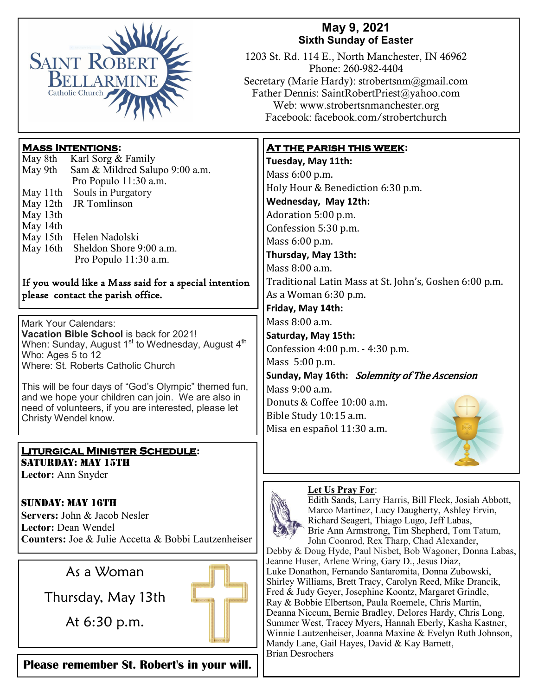

## **May 9, 2021 Sixth Sunday of Easter**

1203 St. Rd. 114 E., North Manchester, IN 46962 Phone: 260-982-4404 Secretary (Marie Hardy): strobertsnm@gmail.com Father Dennis: SaintRobertPriest@yahoo.com Web: www.strobertsnmanchester.org Facebook: facebook.com/strobertchurch

## **Mass Intentions:**

May 8th Karl Sorg & Family<br>May 9th Sam & Mildred Salu Sam & Mildred Salupo 9:00 a.m. Pro Populo 11:30 a.m. May 11th Souls in Purgatory May 12th JR Tomlinson May 13th May 14th May 15th Helen Nadolski May 16th Sheldon Shore 9:00 a.m. Pro Populo 11:30 a.m.

#### If you would like a Mass said for a special intention please contact the parish office.

Mark Your Calendars: **Vacation Bible School** is back for 2021! When: Sunday, August  $1<sup>st</sup>$  to Wednesday, August  $4<sup>th</sup>$ Who: Ages 5 to 12 Where: St. Roberts Catholic Church

This will be four days of "God's Olympic" themed fun, and we hope your children can join. We are also in need of volunteers, if you are interested, please let Christy Wendel know.

#### **Liturgical Minister Schedule:** SATURDAY: MAY 15TH

**Lector:** Ann Snyder

## Sunday: May 16th

**Servers:** John & Jacob Nesler **Lector:** Dean Wendel **Counters:** Joe & Julie Accetta & Bobbi Lautzenheiser



**Please remember St. Robert's in your will.** 

## **At the parish this week:**

**Tuesday, May 11th:**  Mass 6:00 p.m. Holy Hour & Benediction 6:30 p.m. **Wednesday, May 12th:** Adoration 5:00 p.m. Confession 5:30 p.m. Mass 6:00 p.m. **Thursday, May 13th:** Mass 8:00 a.m. Traditional Latin Mass at St. John's, Goshen 6:00 p.m. As a Woman 6:30 p.m.

**Friday, May 14th:** 

Mass 8:00 a.m.

**Saturday, May 15th:**  Confession 4:00 p.m. - 4:30 p.m.

Mass 5:00 p.m.

**Sunday, May 16th:** Solemnity of The Ascension Mass 9:00 a.m.

Donuts & Coffee 10:00 a.m. Bible Study 10:15 a.m. Misa en español 11:30 a.m.



#### **Let Us Pray For**:



Edith Sands, Larry Harris, Bill Fleck, Josiah Abbott, Marco Martinez, Lucy Daugherty, Ashley Ervin, Richard Seagert, Thiago Lugo, Jeff Labas, Brie Ann Armstrong, Tim Shepherd, Tom Tatum, John Coonrod, Rex Tharp, Chad Alexander, Debby & Doug Hyde, Paul Nisbet, Bob Wagoner, Donna Labas,

Jeanne Huser, Arlene Wring, Gary D., Jesus Diaz, Luke Donathon, Fernando Santaromita, Donna Zubowski, Shirley Williams, Brett Tracy, Carolyn Reed, Mike Drancik, Fred & Judy Geyer, Josephine Koontz, Margaret Grindle, Ray & Bobbie Elbertson, Paula Roemele, Chris Martin, Deanna Niccum, Bernie Bradley, Delores Hardy, Chris Long, Summer West, Tracey Myers, Hannah Eberly, Kasha Kastner, Winnie Lautzenheiser, Joanna Maxine & Evelyn Ruth Johnson, Mandy Lane, Gail Hayes, David & Kay Barnett, Brian Desrochers